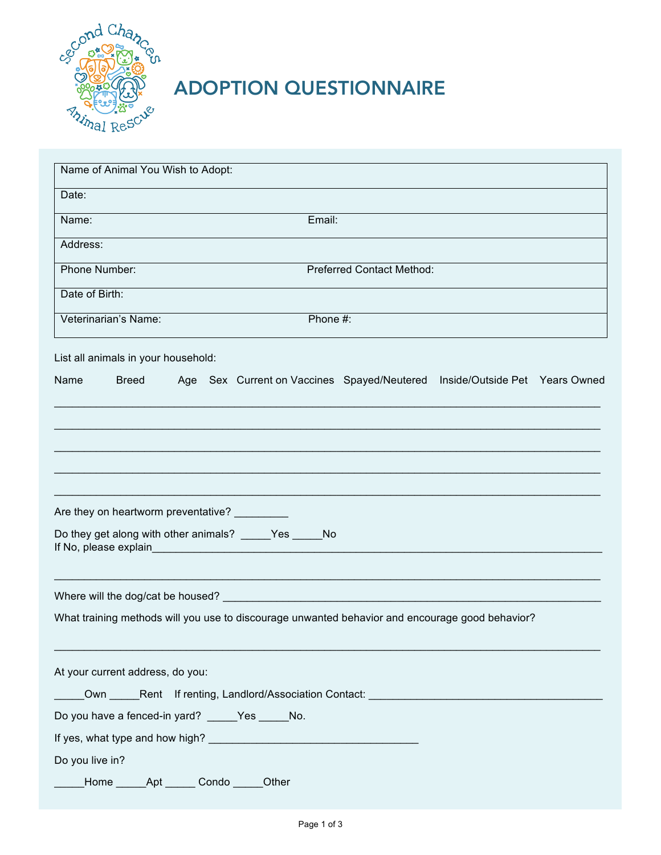

## ADOPTION QUESTIONNAIRE

| Name of Animal You Wish to Adopt:                                                                  |
|----------------------------------------------------------------------------------------------------|
| Date:                                                                                              |
| Email:<br>Name:                                                                                    |
| Address:                                                                                           |
| <b>Phone Number:</b><br><b>Preferred Contact Method:</b>                                           |
| Date of Birth:                                                                                     |
| Phone #:<br>Veterinarian's Name:                                                                   |
| List all animals in your household:                                                                |
| Name<br><b>Breed</b><br>Age Sex Current on Vaccines Spayed/Neutered Inside/Outside Pet Years Owned |
|                                                                                                    |
|                                                                                                    |
|                                                                                                    |
|                                                                                                    |
| Are they on heartworm preventative? _________                                                      |
| Do they get along with other animals? _____Yes _____No<br>If No, please explain                    |
|                                                                                                    |
| What training methods will you use to discourage unwanted behavior and encourage good behavior?    |
| At your current address, do you:                                                                   |
| Own Rent If renting, Landlord/Association Contact: _____________________________                   |
| Do you have a fenced-in yard? _____Yes _____ No.                                                   |
|                                                                                                    |
| Do you live in?                                                                                    |
| Mome ________ Apt _______ Condo ______Other                                                        |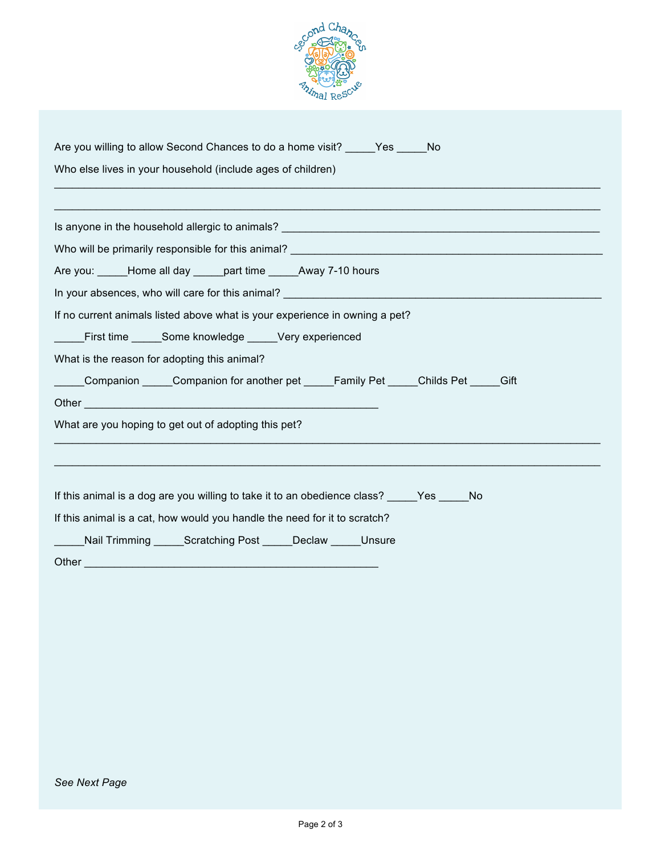

| Are you willing to allow Second Chances to do a home visit? ______ Yes ______ No                                                                                                                                               |
|--------------------------------------------------------------------------------------------------------------------------------------------------------------------------------------------------------------------------------|
| Who else lives in your household (include ages of children)                                                                                                                                                                    |
|                                                                                                                                                                                                                                |
|                                                                                                                                                                                                                                |
|                                                                                                                                                                                                                                |
| Are you: _____Home all day _____ part time ______Away 7-10 hours                                                                                                                                                               |
|                                                                                                                                                                                                                                |
| If no current animals listed above what is your experience in owning a pet?                                                                                                                                                    |
| First time Some knowledge _____Very experienced                                                                                                                                                                                |
| What is the reason for adopting this animal?                                                                                                                                                                                   |
| Companion Companion for another pet Family Pet Childs Pet Gift                                                                                                                                                                 |
|                                                                                                                                                                                                                                |
| What are you hoping to get out of adopting this pet?                                                                                                                                                                           |
|                                                                                                                                                                                                                                |
|                                                                                                                                                                                                                                |
| If this animal is a dog are you willing to take it to an obedience class? _____Yes _____No                                                                                                                                     |
| If this animal is a cat, how would you handle the need for it to scratch?                                                                                                                                                      |
| Nail Trimming ______Scratching Post ______Declaw ______ Unsure                                                                                                                                                                 |
| Other the contract of the contract of the contract of the contract of the contract of the contract of the contract of the contract of the contract of the contract of the contract of the contract of the contract of the cont |